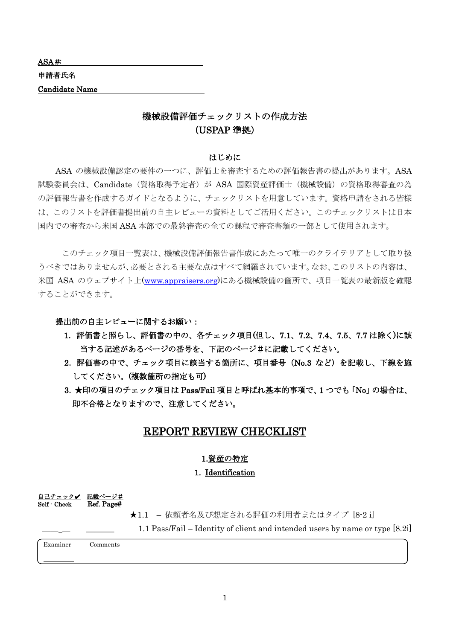| ASA#                  |  |
|-----------------------|--|
| 申請者氏名                 |  |
| <b>Candidate Name</b> |  |
|                       |  |

## 機械設備評価チェックリストの作成方法 (USPAP 準拠)

#### はじめに

ASA の機械設備認定の要件の一つに、評価士を審査するための評価報告書の提出があります。ASA 試験委員会は、Candidate(資格取得予定者)が ASA 国際資産評価士(機械設備)の資格取得審査の為 の評価報告書を作成するガイドとなるように、チェックリストを用意しています。資格申請をされる皆様 は、このリストを評価書提出前の自主レビューの資料としてご活用ください。このチェックリストは日本 国内での審査から米国 ASA 本部での最終審査の全ての課程で審査書類の一部として使用されます。

このチェック項目一覧表は、機械設備評価報告書作成にあたって唯一のクライテリアとして取り扱 うべきではありませんが、必要とされる主要な点はすべて網羅されています。なお、このリストの内容は、 米国 ASA のウェブサイト上[\(www.appraisers.org\)](http://www.appraisers.org/)にある機械設備の箇所で、項目一覧表の最新版を確認 することができます。

提出前の自主レビューに関するお願い:

- 1.評価書と照らし、評価書の中の、各チェック項目(但し、7.1、7.2、7.4、7.5、7.7 は除く)に該 当する記述があるページの番号を、下記のページ#に記載してください。
- 2.評価書の中で、チェック項目に該当する箇所に、項目番号(No.3 など)を記載し、下線を施 してください。(複数箇所の指定も可)
- 3.★印の項目のチェック項目は Pass/Fail 項目と呼ばれ基本的事項で、1 つでも「No」の場合は、 即不合格となりますので、注意してください。

### REPORT REVIEW CHECKLIST

#### 1.資産の特定

### 1. Identification

自己チェックノ 記載ページ#  $\overline{\text{Self} \cdot \text{Check}}$  Ref. Page#

★1.1 – 依頼者名及び想定される評価の利用者またはタイプ [8-2 i]

 $1.1$  Pass/Fail – Identity of client and intended users by name or type  $[8.2i]$ 

Examiner Comments

1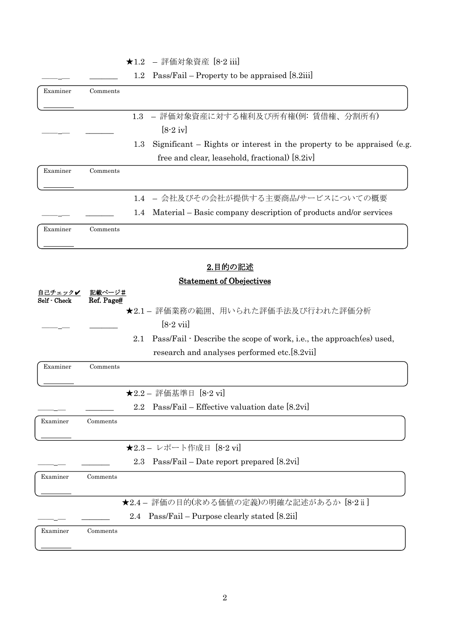## ★1.2 – 評価対象資産 [8-2 iii]

1.2 Pass/Fail – Property to be appraised  $[8.2iii]$ 

| Examiner                       | Comments             |                                                                                 |
|--------------------------------|----------------------|---------------------------------------------------------------------------------|
|                                |                      | - 評価対象資産に対する権利及び所有権(例: 賃借権、分割所有)<br>1.3                                         |
|                                |                      | $[8-2iv]$                                                                       |
|                                |                      | Significant $-$ Rights or interest in the property to be appraised (e.g.<br>1.3 |
|                                |                      | free and clear, leasehold, fractional) [8.2iv]                                  |
| Examiner                       | Comments             |                                                                                 |
|                                |                      | - 会社及びその会社が提供する主要商品/サービスについての概要<br>1.4                                          |
|                                |                      | Material - Basic company description of products and/or services<br>1.4         |
| Examiner                       | Comments             |                                                                                 |
|                                |                      | <u>2.目的の記述</u>                                                                  |
|                                |                      | <b>Statement of Obejectives</b>                                                 |
| <u>自己チェック✔</u><br>Self - Check | 記載ページ#<br>Ref. Page# |                                                                                 |
|                                |                      | ★2.1 - 評価業務の範囲、用いられた評価手法及び行われた評価分析                                              |
|                                |                      | $[8-2$ vii                                                                      |
|                                |                      | Pass/Fail · Describe the scope of work, i.e., the approach(es) used,<br>2.1     |
|                                |                      | research and analyses performed etc.[8.2vii]                                    |
| Examiner                       | Comments             |                                                                                 |
|                                |                      | ★2.2 - 評価基準日 [8-2 vi]                                                           |
|                                |                      | Pass/Fail – Effective valuation date [8.2vi]<br>2.2                             |
| Examiner                       | Comments             |                                                                                 |
|                                |                      | ★2.3- レポート作成日 [8-2 vi]                                                          |
|                                |                      | $Pass/Fail - Date report prepared [8.2vi]$<br>2.3                               |
| Examiner                       | Comments             |                                                                                 |
|                                |                      | ★2.4-評価の目的(求める価値の定義)の明確な記述があるか [8-2 ii]                                         |
|                                |                      | Pass/Fail – Purpose clearly stated [8.2ii]<br>2.4                               |
| Examiner                       | Comments             |                                                                                 |
|                                |                      |                                                                                 |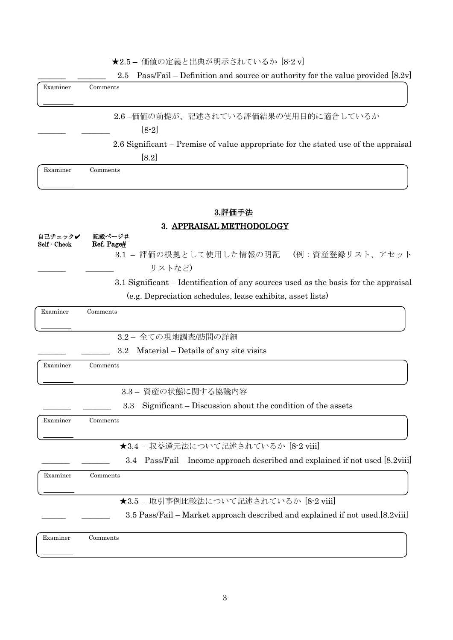|  | ★2.5- 価値の定義と出典が明示されているか [8-2 v] |  |
|--|---------------------------------|--|
|--|---------------------------------|--|

|                         | Pass/Fail – Definition and source or authority for the value provided [8.2v]<br>2.5 |
|-------------------------|-------------------------------------------------------------------------------------|
| Examiner                | Comments                                                                            |
|                         |                                                                                     |
|                         | 2.6-価値の前提が、記述されている評価結果の使用目的に適合しているか                                                 |
|                         | $[8-2]$                                                                             |
|                         | 2.6 Significant – Premise of value appropriate for the stated use of the appraisal  |
|                         | [8.2]                                                                               |
| Examiner                | Comments                                                                            |
|                         |                                                                                     |
|                         |                                                                                     |
|                         | 3.評価手法                                                                              |
|                         | 3. APPRAISAL METHODOLOGY                                                            |
| 自己チェックノ<br>Self - Check | 記載ページ#<br>Ref. Page#                                                                |
|                         | 3.1 - 評価の根拠として使用した情報の明記 (例:資産登録リスト、アセット                                             |
|                         | リストなど)                                                                              |
|                         | 3.1 Significant – Identification of any sources used as the basis for the appraisal |
|                         | (e.g. Depreciation schedules, lease exhibits, asset lists)                          |
| Examiner                | Comments                                                                            |
|                         |                                                                                     |
|                         | 3.2-全ての現地調査/訪問の詳細                                                                   |
|                         | Material – Details of any site visits<br>$3.2\,$                                    |
| Examiner                | Comments                                                                            |
|                         |                                                                                     |
|                         | 3.3- 資産の状態に関する協議内容                                                                  |
|                         | 3.3 Significant – Discussion about the condition of the assets                      |
| Examiner                | Comments                                                                            |
|                         |                                                                                     |
|                         | ★3.4 - 収益還元法について記述されているか [8-2 viii]                                                 |
|                         | Pass/Fail – Income approach described and explained if not used [8.2viii]<br>3.4    |
| Examiner                | Comments                                                                            |
|                         |                                                                                     |
|                         | ★3.5 - 取引事例比較法について記述されているか [8-2 viii]                                               |
|                         | 3.5 Pass/Fail – Market approach described and explained if not used.[8.2viii]       |
| Examiner                | Comments                                                                            |
|                         |                                                                                     |
|                         |                                                                                     |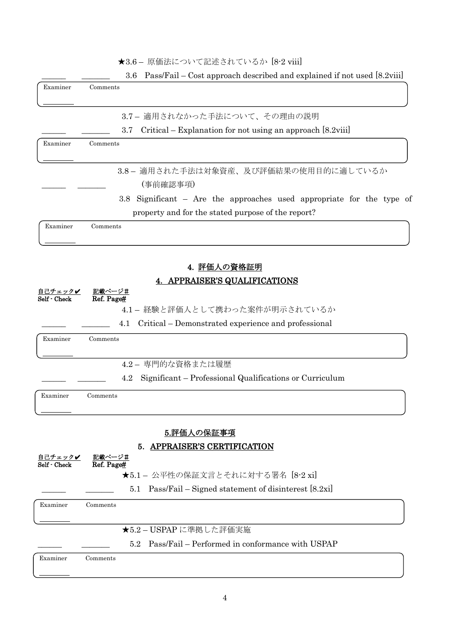|  |  | ★3.6 — 原価法について記述されているか [8-2 viii] |  |  |
|--|--|-----------------------------------|--|--|
|--|--|-----------------------------------|--|--|

|                         | ★3.6 — 原価法について記述されているか 18-2 viiil                                                  |
|-------------------------|------------------------------------------------------------------------------------|
|                         | Pass/Fail – Cost approach described and explained if not used [8.2viii]<br>$3.6\,$ |
| Examiner                | Comments                                                                           |
|                         | 3.7- 適用されなかった手法について、その理由の説明                                                        |
|                         | Critical – Explanation for not using an approach [8.2viii]<br>3.7                  |
| Examiner                | Comments                                                                           |
|                         | 3.8- 適用された手法は対象資産、及び評価結果の使用目的に適しているか<br>(事前確認事項)                                   |
|                         | 3.8 Significant – Are the approaches used appropriate for the type of              |
|                         | property and for the stated purpose of the report?                                 |
| Examiner                | Comments                                                                           |
|                         | 4. 評価人の資格証明                                                                        |
|                         | <b>APPRAISER'S QUALIFICATIONS</b>                                                  |
| 自己チェック✔<br>Self - Check | <u>記載ページ#</u><br>Ref. Page#                                                        |
|                         | 4.1 - 経験と評価人として携わった案件が明示されているか                                                     |
|                         | Critical – Demonstrated experience and professional<br>4.1                         |
| Examiner                | Comments                                                                           |
|                         | 4.2- 専門的な資格または履歴                                                                   |
|                         | Significant – Professional Qualifications or Curriculum<br>4.2                     |
| Examiner                | Comments                                                                           |
|                         | 5.評価人の保証事項                                                                         |
|                         | 5. APPRAISER'S CERTIFICATION                                                       |
| 自己チェック✔<br>Self - Check | 記載ページ#<br>Ref. Page#                                                               |
|                         | ★5.1 - 公平性の保証文言とそれに対する署名 [8-2 xi]                                                  |
|                         | Pass/Fail – Signed statement of disinterest [8.2xi]<br>5.1                         |
| Examiner                | Comments                                                                           |
|                         | ★5.2-USPAPに準拠した評価実施                                                                |
|                         | Pass/Fail – Performed in conformance with USPAP<br>5.2                             |
|                         |                                                                                    |

Examiner Comments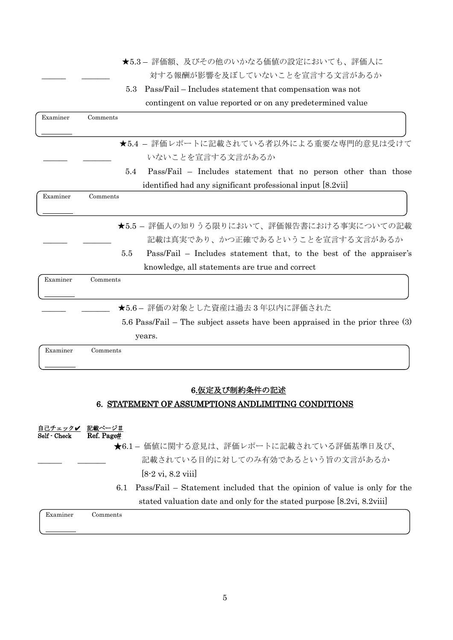★5.3 – 評価額、及びその他のいかなる価値の設定においても、評価人に 対する報酬が影響を及ぼしていないことを宣言する文言があるか

5.3 Pass/Fail – Includes statement that compensation was not contingent on value reported or on any predetermined value

| Examiner | Comments                                                                      |
|----------|-------------------------------------------------------------------------------|
|          | ★5.4 - 評価レポートに記載されている者以外による重要な専門的意見は受けて                                       |
|          | いないことを宣言する文言があるか                                                              |
|          | 5.4<br>Pass/Fail – Includes statement that no person other than those         |
|          | identified had any significant professional input [8.2vii]                    |
| Examiner | Comments                                                                      |
|          |                                                                               |
|          | ★5.5 - 評価人の知りうる限りにおいて、評価報告書における事実についての記載                                      |
|          | 記載は真実であり、かつ正確であるということを宣言する文言があるか                                              |
|          | 5.5<br>Pass/Fail – Includes statement that, to the best of the appraiser's    |
|          | knowledge, all statements are true and correct                                |
| Examiner | Comments                                                                      |
|          | ★5.6- 評価の対象とした資産は過去3年以内に評価された                                                 |
|          | 5.6 Pass/Fail – The subject assets have been appraised in the prior three (3) |
|          | years.                                                                        |
| Examiner | Comments                                                                      |

#### 6.仮定及び制約条件の記述

#### 6. STATEMENT OF ASSUMPTIONS ANDLIMITING CONDITIONS

- 自己チェックノ 記載ページ# Self - Check Ref. Page#
	- ★6.1 価値に関する意見は、評価レポートに記載されている評価基準日及び、 記載されている目的に対してのみ有効であるという旨の文言があるか

[8-2 vi, 8.2 viii]

 6.1 Pass/Fail – Statement included that the opinion of value is only for the stated valuation date and only for the stated purpose [8.2vi, 8.2viii]

Examiner Comments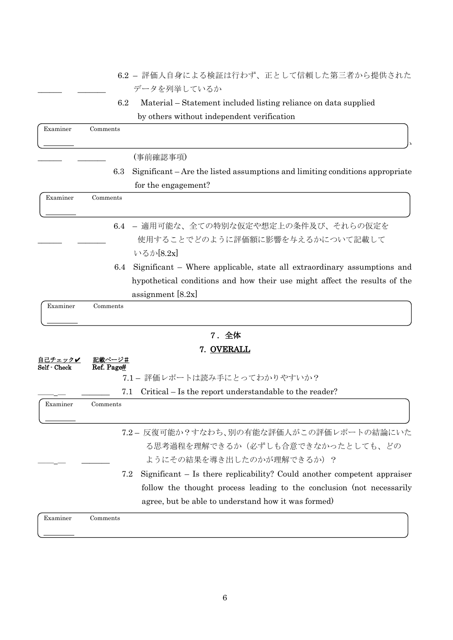- 6.2 評価人自身による検証は行わず、正として信頼した第三者から提供された データを列挙しているか
- 6.2 Material Statement included listing reliance on data supplied by others without independent verification

| Examiner | Comments |                                                                              |
|----------|----------|------------------------------------------------------------------------------|
|          |          |                                                                              |
|          |          | (事前確認事項)                                                                     |
|          | 6.3      | Significant – Are the listed assumptions and limiting conditions appropriate |
|          |          | for the engagement?                                                          |
| Examiner | Comments |                                                                              |
|          |          |                                                                              |
|          |          | 6.4 - 適用可能な、全ての特別な仮定や想定上の条件及び、それらの仮定を                                        |
|          |          | 使用することでどのように評価額に影響を与えるかについて記載して                                              |
|          |          | いるか[8.2x]                                                                    |
|          | 6.4      | Significant – Where applicable, state all extraordinary assumptions and      |
|          |          | hypothetical conditions and how their use might affect the results of the    |
|          |          | assignment $[8.2x]$                                                          |
| Examiner | Comments |                                                                              |
|          |          |                                                                              |

# 7.全体

|                         | <b>7. OVERALL</b>                                                                                                                                                                                              |
|-------------------------|----------------------------------------------------------------------------------------------------------------------------------------------------------------------------------------------------------------|
| 自己チェック✔<br>Self - Check | 記載ページ#<br>Ref. Page#                                                                                                                                                                                           |
|                         | 7.1 - 評価レポートは読み手にとってわかりやすいか?                                                                                                                                                                                   |
|                         | Critical – Is the report understandable to the reader?<br>7.1                                                                                                                                                  |
| Examiner                | Comments                                                                                                                                                                                                       |
|                         | 7.2- 反復可能か?すなわち、別の有能な評価人がこの評価レポートの結論にいた<br>る思考過程を理解できるか(必ずしも合意できなかったとしても、どの<br>ようにその結果を導き出したのかが理解できるか)?                                                                                                        |
|                         | 7.2<br>Significant – Is there replicability? Could another competent appraiser<br>follow the thought process leading to the conclusion (not necessarily<br>agree, but be able to understand how it was formed) |
| Examiner                | Comments                                                                                                                                                                                                       |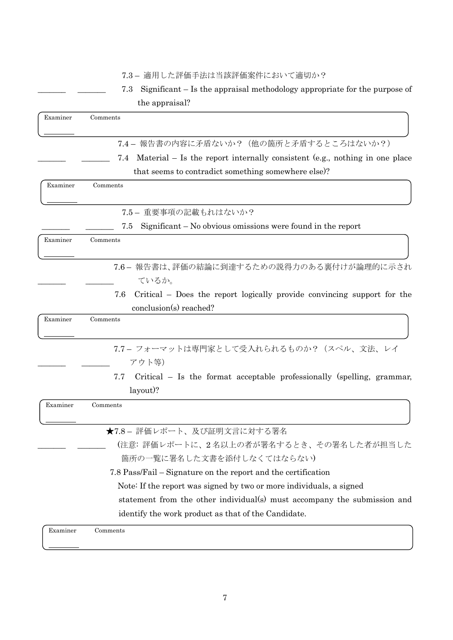|          | Significant – Is the appraisal methodology appropriate for the purpose of<br>7.3                         |
|----------|----------------------------------------------------------------------------------------------------------|
|          | the appraisal?                                                                                           |
| Examiner | Comments                                                                                                 |
|          | 7.4-報告書の内容に矛盾ないか? (他の箇所と矛盾するところはないか?)                                                                    |
|          | 7.4 Material – Is the report internally consistent (e.g., nothing in one place                           |
|          | that seems to contradict something somewhere else.                                                       |
| Examiner | Comments                                                                                                 |
|          | 7.5- 重要事項の記載もれはないか?                                                                                      |
|          | Significant $-$ No obvious omissions were found in the report<br>7.5                                     |
| Examiner | Comments                                                                                                 |
|          | 7.6-報告書は、評価の結論に到達するための説得力のある裏付けが論理的に示され<br>ているか。                                                         |
|          | Critical – Does the report logically provide convincing support for the<br>7.6<br>conclusion(s) reached? |
| Examiner | Comments                                                                                                 |
|          | 7.7- フォーマットは専門家として受入れられるものか? (スペル、文法、レイ<br>アウト等)                                                         |
|          | 7.7<br>Critical – Is the format acceptable professionally (spelling, grammar,<br>layout)?                |
| Examiner | Comments                                                                                                 |
|          | ★7.8-評価レポート、及び証明文言に対する署名                                                                                 |
|          | (注意:評価レポートに、2名以上の者が署名するとき、その署名した者が担当した<br>箇所の一覧に署名した文書を添付しなくてはならない)                                      |
|          | 7.8 Pass/Fail – Signature on the report and the certification                                            |
|          | Note: If the report was signed by two or more individuals, a signed                                      |
|          | statement from the other individual(s) must accompany the submission and                                 |
|          | identify the work product as that of the Candidate.                                                      |